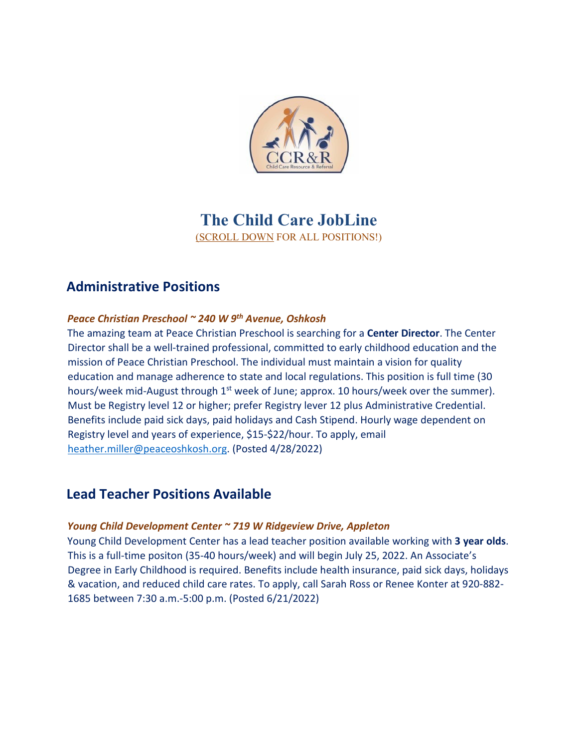

# **The Child Care JobLine**  (SCROLL DOWN FOR ALL POSITIONS!)

# **Administrative Positions**

### *Peace Christian Preschool ~ 240 W 9th Avenue, Oshkosh*

The amazing team at Peace Christian Preschool is searching for a **Center Director**. The Center Director shall be a well-trained professional, committed to early childhood education and the mission of Peace Christian Preschool. The individual must maintain a vision for quality education and manage adherence to state and local regulations. This position is full time (30 hours/week mid-August through  $1<sup>st</sup>$  week of June; approx. 10 hours/week over the summer). Must be Registry level 12 or higher; prefer Registry lever 12 plus Administrative Credential. Benefits include paid sick days, paid holidays and Cash Stipend. Hourly wage dependent on Registry level and years of experience, \$15-\$22/hour. To apply, email [heather.miller@peaceoshkosh.org.](mailto:heather.miller@peaceoshkosh.org) (Posted 4/28/2022)

## **Lead Teacher Positions Available**

### *Young Child Development Center ~ 719 W Ridgeview Drive, Appleton*

Young Child Development Center has a lead teacher position available working with **3 year olds**. This is a full-time positon (35-40 hours/week) and will begin July 25, 2022. An Associate's Degree in Early Childhood is required. Benefits include health insurance, paid sick days, holidays & vacation, and reduced child care rates. To apply, call Sarah Ross or Renee Konter at 920-882- 1685 between 7:30 a.m.-5:00 p.m. (Posted 6/21/2022)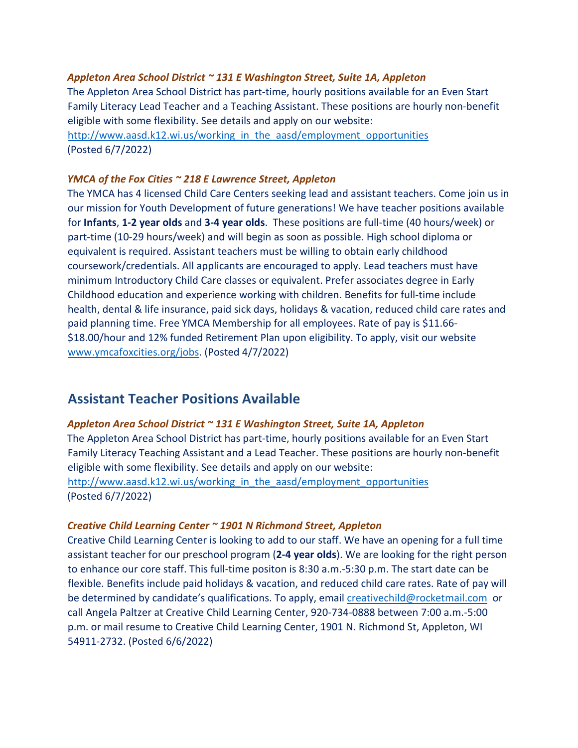### *Appleton Area School District ~ 131 E Washington Street, Suite 1A, Appleton*

The Appleton Area School District has part-time, hourly positions available for an Even Start Family Literacy Lead Teacher and a Teaching Assistant. These positions are hourly non-benefit eligible with some flexibility. See details and apply on our website: http://www.aasd.k12.wi.us/working\_in\_the\_aasd/employment\_opportunities

(Posted 6/7/2022)

### *YMCA of the Fox Cities ~ 218 E Lawrence Street, Appleton*

The YMCA has 4 licensed Child Care Centers seeking lead and assistant teachers. Come join us in our mission for Youth Development of future generations! We have teacher positions available for **Infants**, **1-2 year olds** and **3-4 year olds**. These positions are full-time (40 hours/week) or part-time (10-29 hours/week) and will begin as soon as possible. High school diploma or equivalent is required. Assistant teachers must be willing to obtain early childhood coursework/credentials. All applicants are encouraged to apply. Lead teachers must have minimum Introductory Child Care classes or equivalent. Prefer associates degree in Early Childhood education and experience working with children. Benefits for full-time include health, dental & life insurance, paid sick days, holidays & vacation, reduced child care rates and paid planning time. Free YMCA Membership for all employees. Rate of pay is \$11.66- \$18.00/hour and 12% funded Retirement Plan upon eligibility. To apply, visit our website [www.ymcafoxcities.org/jobs.](http://www.ymcafoxcities.org/jobs) (Posted 4/7/2022)

## **Assistant Teacher Positions Available**

### *Appleton Area School District ~ 131 E Washington Street, Suite 1A, Appleton*

The Appleton Area School District has part-time, hourly positions available for an Even Start Family Literacy Teaching Assistant and a Lead Teacher. These positions are hourly non-benefit eligible with some flexibility. See details and apply on our website: http://www.aasd.k12.wi.us/working\_in\_the\_aasd/employment\_opportunities (Posted 6/7/2022)

### *Creative Child Learning Center ~ 1901 N Richmond Street, Appleton*

Creative Child Learning Center is looking to add to our staff. We have an opening for a full time assistant teacher for our preschool program (**2-4 year olds**). We are looking for the right person to enhance our core staff. This full-time positon is 8:30 a.m.-5:30 p.m. The start date can be flexible. Benefits include paid holidays & vacation, and reduced child care rates. Rate of pay will be determined by candidate's qualifications. To apply, email [creativechild@rocketmail.com](mailto:creativechild@rocketmail.com) or call Angela Paltzer at Creative Child Learning Center, 920-734-0888 between 7:00 a.m.-5:00 p.m. or mail resume to Creative Child Learning Center, 1901 N. Richmond St, Appleton, WI 54911-2732. (Posted 6/6/2022)